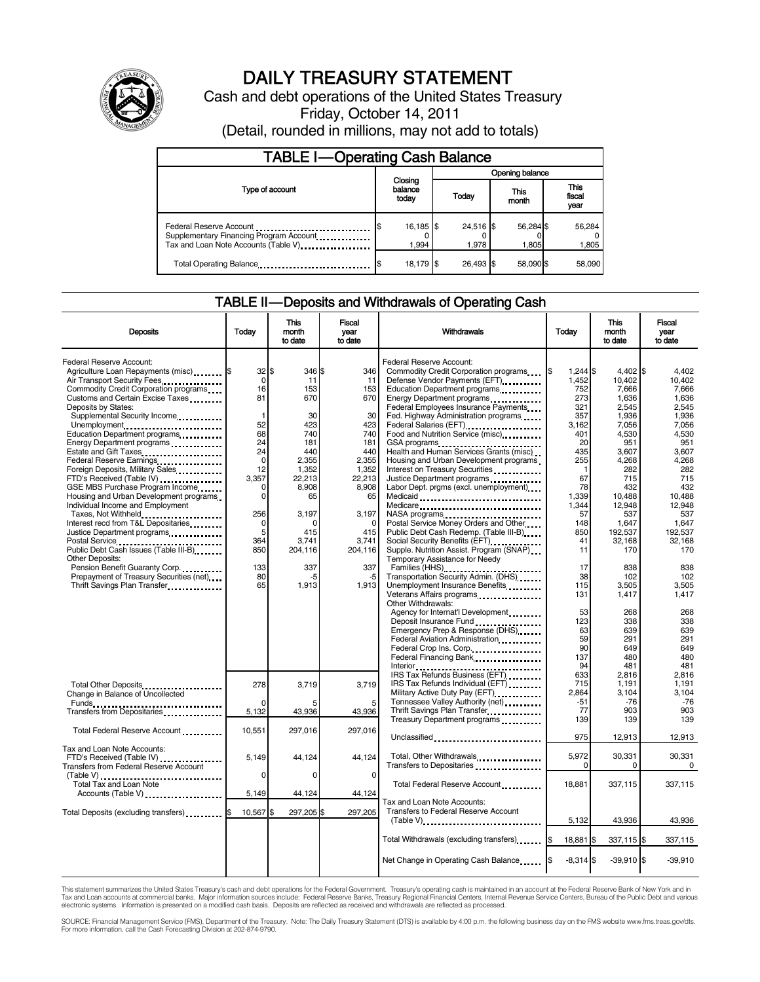

# DAILY TREASURY STATEMENT

Cash and debt operations of the United States Treasury Friday, October 14, 2011

(Detail, rounded in millions, may not add to totals)

| <b>TABLE I-Operating Cash Balance</b>                                                                       |  |                             |  |                      |  |                    |  |                        |  |
|-------------------------------------------------------------------------------------------------------------|--|-----------------------------|--|----------------------|--|--------------------|--|------------------------|--|
|                                                                                                             |  |                             |  | Opening balance      |  |                    |  |                        |  |
| Type of account                                                                                             |  | Closing<br>balance<br>today |  | Today                |  | This<br>month      |  | This<br>fiscal<br>year |  |
| Federal Reserve Account<br>Supplementary Financing Program Account<br>Tax and Loan Note Accounts (Table V). |  | 16,185 \$<br>1.994          |  | $24,516$ \$<br>1.978 |  | 56,284 \$<br>1,805 |  | 56,284<br>1,805        |  |
| Total Operating Balance                                                                                     |  | 18,179 \$                   |  | 26.493 \$            |  | 58.090 \$          |  | 58.090                 |  |

### TABLE II — Deposits and Withdrawals of Operating Cash

| <b>Deposits</b>                                                    | Today          | <b>This</b><br>month<br>to date | <b>Fiscal</b><br>year<br>to date | Withdrawals                                                           | Today              | <b>This</b><br>month<br>to date | Fiscal<br>year<br>to date |  |
|--------------------------------------------------------------------|----------------|---------------------------------|----------------------------------|-----------------------------------------------------------------------|--------------------|---------------------------------|---------------------------|--|
|                                                                    |                |                                 |                                  |                                                                       |                    |                                 |                           |  |
| Federal Reserve Account:<br>Agriculture Loan Repayments (misc) [\$ | 32             | \$<br>346 \$                    | 346                              | Federal Reserve Account:<br>Commodity Credit Corporation programs     | l\$<br>1,244 \$    | 4,402 \$                        | 4,402                     |  |
| Air Transport Security Fees.                                       | $\Omega$       | 11                              | 11                               | Defense Vendor Payments (EFT)                                         | 1.452              | 10.402                          | 10.402                    |  |
| Commodity Credit Corporation programs                              | 16             | 153                             | 153                              | Education Department programs                                         | 752                | 7,666                           | 7,666                     |  |
| Customs and Certain Excise Taxes                                   | 81             | 670                             | 670                              | Energy Department programs                                            | 273                | 1,636                           | 1,636                     |  |
| Deposits by States:                                                |                |                                 |                                  | Federal Employees Insurance Payments                                  | 321                | 2,545                           | 2.545                     |  |
| Supplemental Security Income                                       | $\overline{1}$ | 30                              | 30                               | Fed. Highway Administration programs                                  | 357                | 1,936                           | 1.936                     |  |
| Unemployment                                                       | 52             | 423                             | 423                              | Federal Salaries (EFT)<br>1991 - Pateral Salaries (EFT)               | 3,162              | 7,056                           | 7,056                     |  |
| Education Department programs                                      | 68             | 740                             | 740                              | Food and Nutrition Service (misc)                                     | 401                | 4,530                           | 4,530                     |  |
| Energy Department programs                                         | 24             | 181                             | 181                              | GSA programs                                                          | 20                 | 951                             | 951                       |  |
| Estate and Gift Taxes                                              | 24             | 440                             | 440                              | Health and Human Services Grants (misc)                               | 435                | 3,607                           | 3.607                     |  |
| Federal Reserve Earnings                                           | $\mathbf 0$    | 2,355                           | 2,355                            | Housing and Urban Development programs                                | 255                | 4,268                           | 4.268                     |  |
| Foreign Deposits, Military Sales                                   | 12<br>3,357    | 1,352                           | 1,352                            | Interest on Treasury Securities                                       | 1<br>67            | 282                             | 282<br>715                |  |
| FTD's Received (Table IV)<br>GSE MBS Purchase Program Income       | 0              | 22,213<br>8,908                 | 22,213<br>8,908                  | Justice Department programs<br>Labor Dept. prgms (excl. unemployment) | 78                 | 715<br>432                      | 432                       |  |
| Housing and Urban Development programs                             | $\Omega$       | 65                              | 65                               |                                                                       | 1.339              | 10.488                          | 10.488                    |  |
| Individual Income and Employment                                   |                |                                 |                                  | Medicaid<br>Medicare                                                  | 1,344              | 12,948                          | 12.948                    |  |
| Taxes, Not Withheld                                                | 256            | 3.197                           | 3,197                            |                                                                       | 57                 | 537                             | 537                       |  |
| Interest recd from T&L Depositaries                                | 0              | ∩                               | $\Omega$                         | NASA programs<br>Postal Service Money Orders and Other                | 148                | 1,647                           | 1.647                     |  |
| Justice Department programs                                        | 5              | 415                             | 415                              | Public Debt Cash Redemp. (Table III-B)                                | 850                | 192,537                         | 192,537                   |  |
|                                                                    | 364            | 3.741                           | 3,741                            | Social Security Benefits (EFT)                                        | 41                 | 32,168                          | 32,168                    |  |
| Public Debt Cash Issues (Table III-B)                              | 850            | 204,116                         | 204,116                          | Supple. Nutrition Assist. Program (SNAP)                              | 11                 | 170                             | 170                       |  |
| <b>Other Deposits:</b>                                             |                |                                 |                                  | Temporary Assistance for Needy                                        |                    |                                 |                           |  |
| Pension Benefit Guaranty Corp.                                     | 133            | 337                             | 337                              | Families (HHS)                                                        | 17                 | 838                             | 838                       |  |
| Prepayment of Treasury Securities (net)                            | 80             | -5                              | -5                               | Transportation Security Admin. (DHS)                                  | 38                 | 102                             | 102                       |  |
| Thrift Savings Plan Transfer                                       | 65             | 1,913                           | 1.913                            | Unemployment Insurance Benefits                                       | 115                | 3.505                           | 3.505<br>1,417            |  |
|                                                                    |                |                                 |                                  | Other Withdrawals:                                                    | 131                | 1,417                           |                           |  |
|                                                                    |                |                                 |                                  | Agency for Internat'l Development                                     | 53                 | 268                             | 268                       |  |
|                                                                    |                |                                 |                                  | Deposit Insurance Fund                                                | 123                | 338                             | 338                       |  |
|                                                                    |                |                                 |                                  | Emergency Prep & Response (DHS)                                       | 63                 | 639                             | 639                       |  |
|                                                                    |                |                                 |                                  | Federal Aviation Administration                                       | 59                 | 291                             | 291                       |  |
|                                                                    |                |                                 |                                  | Federal Crop Ins. Corp                                                | 90                 | 649                             | 649                       |  |
|                                                                    |                |                                 |                                  | Federal Financing Bank                                                | 137                | 480                             | 480                       |  |
|                                                                    |                |                                 |                                  |                                                                       | 94                 | 481                             | 481                       |  |
|                                                                    |                |                                 |                                  | IRS Tax Refunds Business (EFT)                                        | 633                | 2,816                           | 2,816                     |  |
| Total Other Deposits                                               | 278            | 3,719                           | 3,719                            | IRS Tax Refunds Individual (EFT)                                      | 715                | 1,191                           | 1,191                     |  |
| Change in Balance of Uncollected                                   | $\Omega$       |                                 |                                  | Military Active Duty Pay (EFT)<br>Tennessee Valley Authority (net)    | 2,864<br>-51       | 3,104<br>$-76$                  | 3,104<br>$-76$            |  |
|                                                                    | 5,132          | 43,936                          | 5<br>43,936                      | Thrift Savings Plan Transfer                                          | 77                 | 903                             | 903                       |  |
|                                                                    |                |                                 |                                  | Treasury Department programs                                          | 139                | 139                             | 139                       |  |
| Total Federal Reserve Account                                      | 10,551         | 297,016                         | 297,016                          |                                                                       |                    |                                 |                           |  |
|                                                                    |                |                                 |                                  | Unclassified                                                          | 975                | 12,913                          | 12,913                    |  |
| Tax and Loan Note Accounts:                                        |                |                                 |                                  |                                                                       |                    |                                 |                           |  |
| FTD's Received (Table IV)                                          | 5,149          | 44,124                          | 44,124                           | Total, Other Withdrawals                                              | 5,972              | 30,331                          | 30.331                    |  |
| <b>Transfers from Federal Reserve Account</b>                      |                |                                 |                                  | Transfers to Depositaries                                             | 0                  | 0                               | 0                         |  |
| (Table V)<br>Total Tax and Loan Note                               | $\mathbf 0$    | $\Omega$                        | $\mathbf 0$                      |                                                                       |                    |                                 |                           |  |
|                                                                    |                |                                 |                                  | Total Federal Reserve Account                                         | 18.881             | 337.115                         | 337,115                   |  |
| Accounts (Table V)                                                 | 5,149          | 44,124                          | 44,124                           | Tax and Loan Note Accounts:                                           |                    |                                 |                           |  |
|                                                                    |                |                                 |                                  | Transfers to Federal Reserve Account                                  |                    |                                 |                           |  |
| Total Deposits (excluding transfers) [65]                          | 10,567         | 297,205 \$<br>\$.               | 297,205                          | (Table V)                                                             | 5,132              | 43,936                          | 43,936                    |  |
|                                                                    |                |                                 |                                  |                                                                       |                    |                                 |                           |  |
|                                                                    |                |                                 |                                  | Total Withdrawals (excluding transfers) [\$                           | 18,881 \$          | 337,115 \$                      | 337,115                   |  |
|                                                                    |                |                                 |                                  |                                                                       |                    |                                 |                           |  |
|                                                                    |                |                                 |                                  | Net Change in Operating Cash Balance                                  | l\$<br>$-8,314$ \$ | $-39,910$ \$                    | $-39,910$                 |  |
|                                                                    |                |                                 |                                  |                                                                       |                    |                                 |                           |  |

This statement summarizes the United States Treasury's cash and debt operations for the Federal Government. Treasury's operating cash is maintained in an account at the Federal Reserve Bank of New York and in<br>Tax and Loan

SOURCE: Financial Management Service (FMS), Department of the Treasury. Note: The Daily Treasury Statement (DTS) is available by 4:00 p.m. the following business day on the FMS website www.fms.treas.gov/dts.<br>For more infor